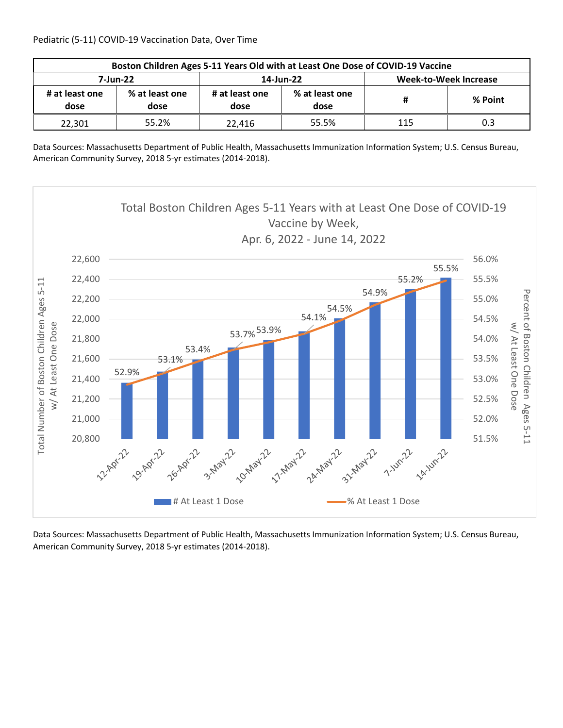| Boston Children Ages 5-11 Years Old with at Least One Dose of COVID-19 Vaccine |                        |                        |                        |                              |         |  |  |
|--------------------------------------------------------------------------------|------------------------|------------------------|------------------------|------------------------------|---------|--|--|
| 7-Jun-22                                                                       |                        |                        | 14-Jun-22              | <b>Week-to-Week Increase</b> |         |  |  |
| # at least one<br>dose                                                         | % at least one<br>dose | # at least one<br>dose | % at least one<br>dose | #                            | % Point |  |  |
| 22,301                                                                         | 55.2%                  | 22.416                 | 55.5%                  | 115                          | 0.3     |  |  |

Data Sources: Massachusetts Department of Public Health, Massachusetts Immunization Information System; U.S. Census Bureau, American Community Survey, 2018 5‐yr estimates (2014‐2018).

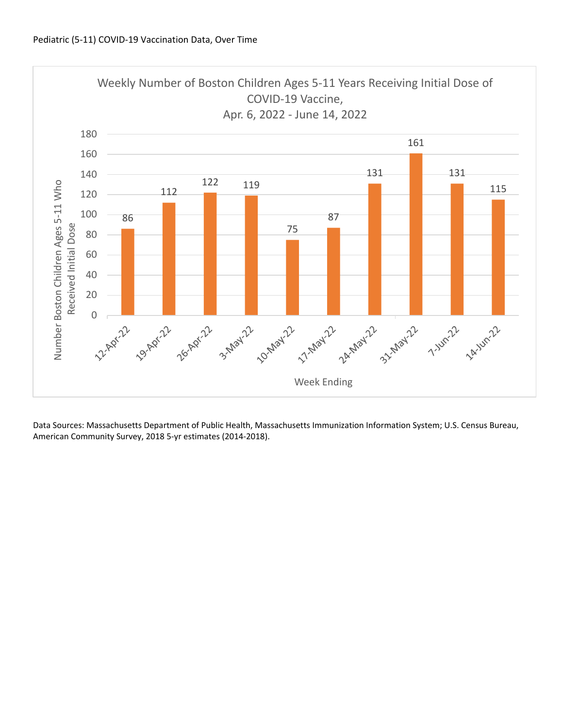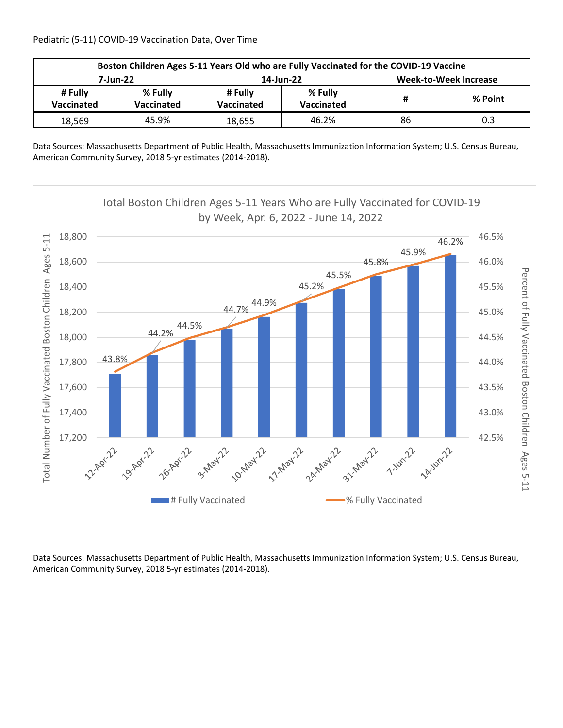Pediatric (5‐11) COVID‐19 Vaccination Data, Over Time

| Boston Children Ages 5-11 Years Old who are Fully Vaccinated for the COVID-19 Vaccine |                       |        |                       |                              |         |  |  |
|---------------------------------------------------------------------------------------|-----------------------|--------|-----------------------|------------------------------|---------|--|--|
| 7-Jun-22                                                                              |                       |        | 14-Jun-22             | <b>Week-to-Week Increase</b> |         |  |  |
| # Fully<br><b>Vaccinated</b>                                                          | % Fully<br>Vaccinated |        | % Fully<br>Vaccinated | Ħ                            | % Point |  |  |
| 18,569                                                                                | 45.9%                 | 18.655 | 46.2%                 | 86                           | 0.3     |  |  |

Data Sources: Massachusetts Department of Public Health, Massachusetts Immunization Information System; U.S. Census Bureau, American Community Survey, 2018 5‐yr estimates (2014‐2018).

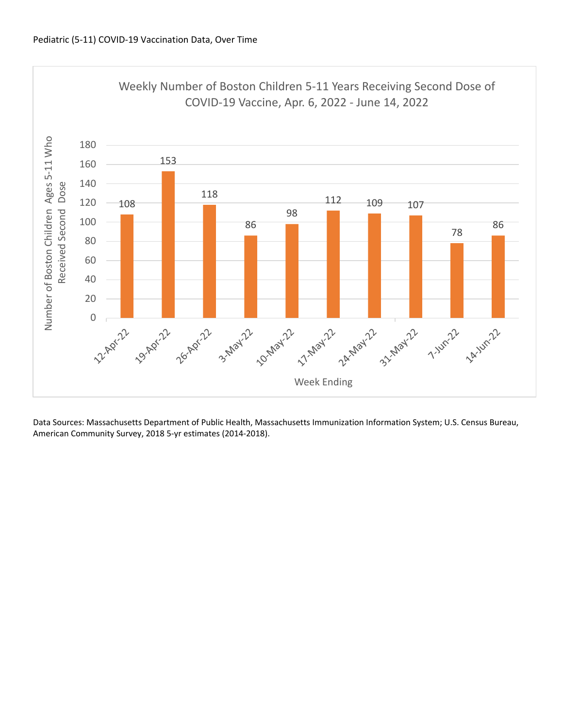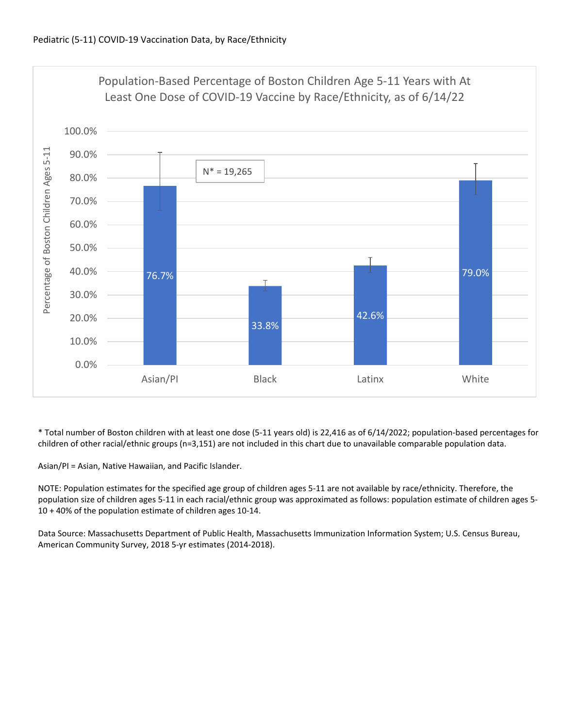

\* Total number of Boston children with at least one dose (5‐11 years old) is 22,416 as of 6/14/2022; population‐based percentages for children of other racial/ethnic groups (n=3,151) are not included in this chart due to unavailable comparable population data.

Asian/PI = Asian, Native Hawaiian, and Pacific Islander.

NOTE: Population estimates for the specified age group of children ages 5‐11 are not available by race/ethnicity. Therefore, the population size of children ages 5‐11 in each racial/ethnic group was approximated as follows: population estimate of children ages 5‐ 10 + 40% of the population estimate of children ages 10‐14.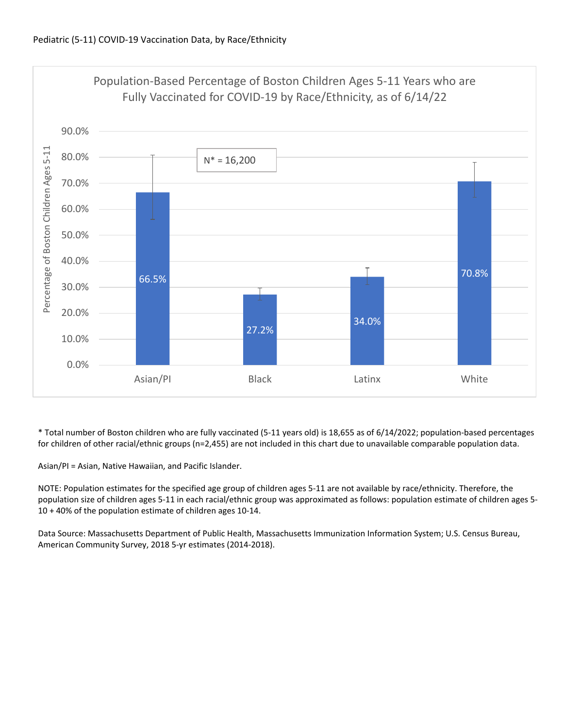

\* Total number of Boston children who are fully vaccinated (5‐11 years old) is 18,655 as of 6/14/2022; population‐based percentages for children of other racial/ethnic groups (n=2,455) are not included in this chart due to unavailable comparable population data.

Asian/PI = Asian, Native Hawaiian, and Pacific Islander.

NOTE: Population estimates for the specified age group of children ages 5‐11 are not available by race/ethnicity. Therefore, the population size of children ages 5‐11 in each racial/ethnic group was approximated as follows: population estimate of children ages 5‐ 10 + 40% of the population estimate of children ages 10‐14.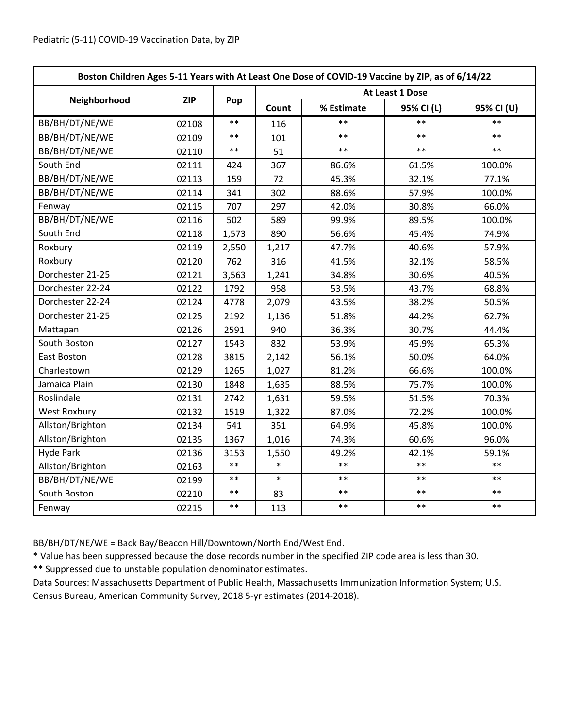| Boston Children Ages 5-11 Years with At Least One Dose of COVID-19 Vaccine by ZIP, as of 6/14/22 |            |       |                 |            |            |            |  |
|--------------------------------------------------------------------------------------------------|------------|-------|-----------------|------------|------------|------------|--|
|                                                                                                  | <b>ZIP</b> | Pop   | At Least 1 Dose |            |            |            |  |
| Neighborhood                                                                                     |            |       | Count           | % Estimate | 95% CI (L) | 95% CI (U) |  |
| BB/BH/DT/NE/WE                                                                                   | 02108      | $**$  | 116             | **         | $***$      | $**$       |  |
| BB/BH/DT/NE/WE                                                                                   | 02109      | $***$ | 101             | $***$      | $***$      | $***$      |  |
| BB/BH/DT/NE/WE                                                                                   | 02110      | $***$ | 51              | $***$      | $***$      | $***$      |  |
| South End                                                                                        | 02111      | 424   | 367             | 86.6%      | 61.5%      | 100.0%     |  |
| BB/BH/DT/NE/WE                                                                                   | 02113      | 159   | 72              | 45.3%      | 32.1%      | 77.1%      |  |
| BB/BH/DT/NE/WE                                                                                   | 02114      | 341   | 302             | 88.6%      | 57.9%      | 100.0%     |  |
| Fenway                                                                                           | 02115      | 707   | 297             | 42.0%      | 30.8%      | 66.0%      |  |
| BB/BH/DT/NE/WE                                                                                   | 02116      | 502   | 589             | 99.9%      | 89.5%      | 100.0%     |  |
| South End                                                                                        | 02118      | 1,573 | 890             | 56.6%      | 45.4%      | 74.9%      |  |
| Roxbury                                                                                          | 02119      | 2,550 | 1,217           | 47.7%      | 40.6%      | 57.9%      |  |
| Roxbury                                                                                          | 02120      | 762   | 316             | 41.5%      | 32.1%      | 58.5%      |  |
| Dorchester 21-25                                                                                 | 02121      | 3,563 | 1,241           | 34.8%      | 30.6%      | 40.5%      |  |
| Dorchester 22-24                                                                                 | 02122      | 1792  | 958             | 53.5%      | 43.7%      | 68.8%      |  |
| Dorchester 22-24                                                                                 | 02124      | 4778  | 2,079           | 43.5%      | 38.2%      | 50.5%      |  |
| Dorchester 21-25                                                                                 | 02125      | 2192  | 1,136           | 51.8%      | 44.2%      | 62.7%      |  |
| Mattapan                                                                                         | 02126      | 2591  | 940             | 36.3%      | 30.7%      | 44.4%      |  |
| South Boston                                                                                     | 02127      | 1543  | 832             | 53.9%      | 45.9%      | 65.3%      |  |
| East Boston                                                                                      | 02128      | 3815  | 2,142           | 56.1%      | 50.0%      | 64.0%      |  |
| Charlestown                                                                                      | 02129      | 1265  | 1,027           | 81.2%      | 66.6%      | 100.0%     |  |
| Jamaica Plain                                                                                    | 02130      | 1848  | 1,635           | 88.5%      | 75.7%      | 100.0%     |  |
| Roslindale                                                                                       | 02131      | 2742  | 1,631           | 59.5%      | 51.5%      | 70.3%      |  |
| <b>West Roxbury</b>                                                                              | 02132      | 1519  | 1,322           | 87.0%      | 72.2%      | 100.0%     |  |
| Allston/Brighton                                                                                 | 02134      | 541   | 351             | 64.9%      | 45.8%      | 100.0%     |  |
| Allston/Brighton                                                                                 | 02135      | 1367  | 1,016           | 74.3%      | 60.6%      | 96.0%      |  |
| <b>Hyde Park</b>                                                                                 | 02136      | 3153  | 1,550           | 49.2%      | 42.1%      | 59.1%      |  |
| Allston/Brighton                                                                                 | 02163      | $***$ | $\ast$          | $**$       | $* *$      | $**$       |  |
| BB/BH/DT/NE/WE                                                                                   | 02199      | $***$ | $\ast$          | $**$       | $**$       | $**$       |  |
| South Boston                                                                                     | 02210      | $***$ | 83              | $***$      | $***$      | $***$      |  |
| Fenway                                                                                           | 02215      | $***$ | 113             | $***$      | $***$      | $***$      |  |

BB/BH/DT/NE/WE = Back Bay/Beacon Hill/Downtown/North End/West End.

\* Value has been suppressed because the dose records number in the specified ZIP code area is less than 30.

\*\* Suppressed due to unstable population denominator estimates.